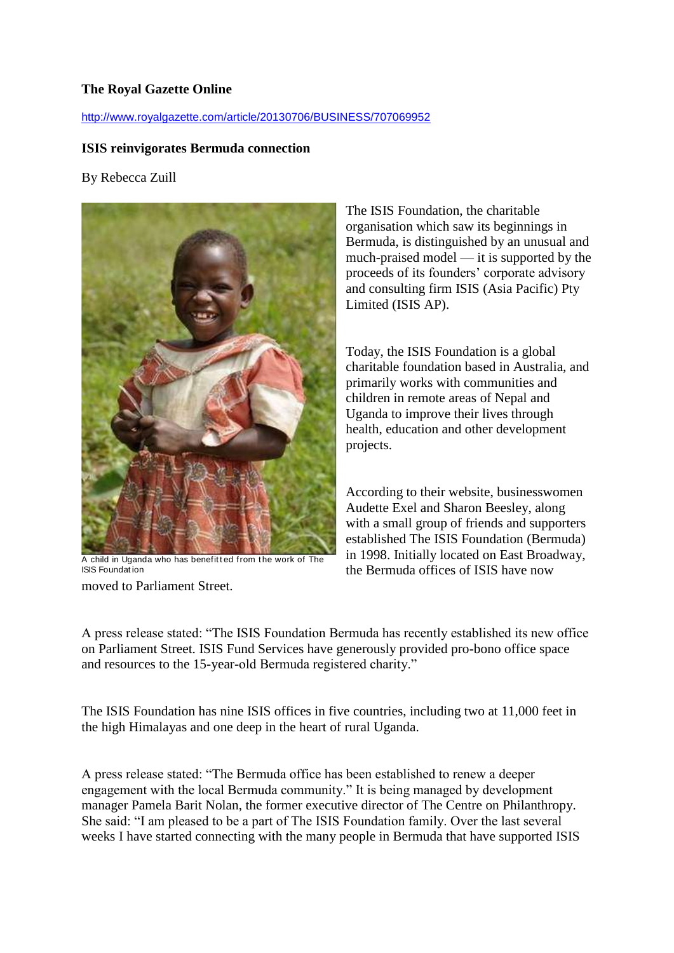## **The Royal Gazette Online**

## <http://www.royalgazette.com/article/20130706/BUSINESS/707069952>

## **ISIS reinvigorates Bermuda connection**

## By Rebecca Zuill



A child in Uganda who has benefitted from the work of The ISIS Foundat ion

moved to Parliament Street.

The ISIS Foundation, the charitable organisation which saw its beginnings in Bermuda, is distinguished by an unusual and much-praised model — it is supported by the proceeds of its founders' corporate advisory and consulting firm ISIS (Asia Pacific) Pty Limited (ISIS AP).

Today, the ISIS Foundation is a global charitable foundation based in Australia, and primarily works with communities and children in remote areas of Nepal and Uganda to improve their lives through health, education and other development projects.

According to their website, businesswomen Audette Exel and Sharon Beesley, along with a small group of friends and supporters established The ISIS Foundation (Bermuda) in 1998. Initially located on East Broadway, the Bermuda offices of ISIS have now

A press release stated: "The ISIS Foundation Bermuda has recently established its new office on Parliament Street. ISIS Fund Services have generously provided pro-bono office space and resources to the 15-year-old Bermuda registered charity."

The ISIS Foundation has nine ISIS offices in five countries, including two at 11,000 feet in the high Himalayas and one deep in the heart of rural Uganda.

A press release stated: "The Bermuda office has been established to renew a deeper engagement with the local Bermuda community." It is being managed by development manager Pamela Barit Nolan, the former executive director of The Centre on Philanthropy. She said: "I am pleased to be a part of The ISIS Foundation family. Over the last several weeks I have started connecting with the many people in Bermuda that have supported ISIS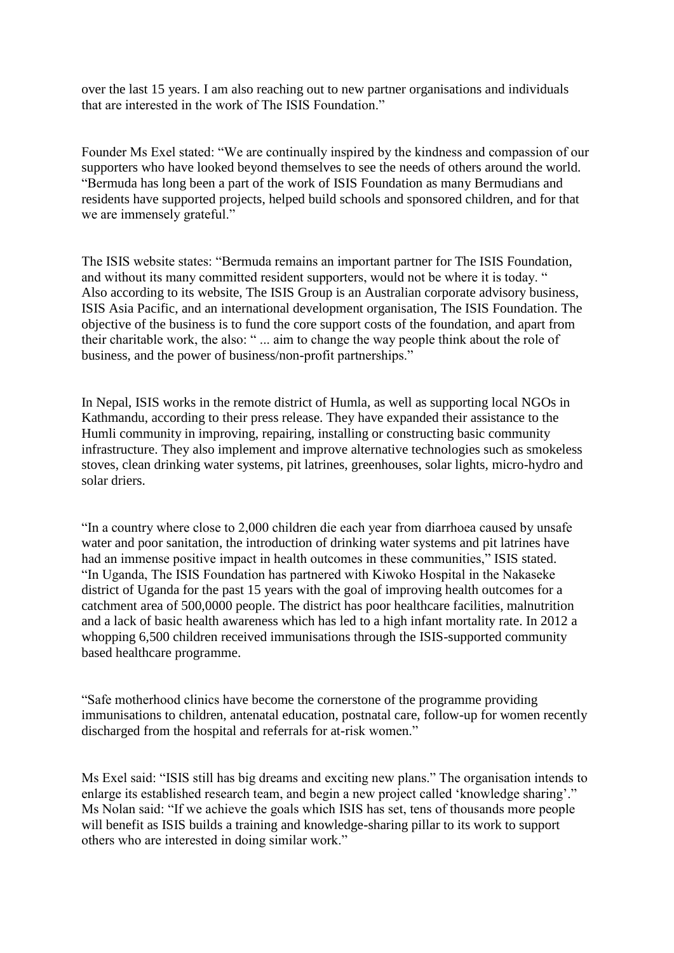over the last 15 years. I am also reaching out to new partner organisations and individuals that are interested in the work of The ISIS Foundation."

Founder Ms Exel stated: "We are continually inspired by the kindness and compassion of our supporters who have looked beyond themselves to see the needs of others around the world. "Bermuda has long been a part of the work of ISIS Foundation as many Bermudians and residents have supported projects, helped build schools and sponsored children, and for that we are immensely grateful."

The ISIS website states: "Bermuda remains an important partner for The ISIS Foundation, and without its many committed resident supporters, would not be where it is today. " Also according to its website, The ISIS Group is an Australian corporate advisory business, ISIS Asia Pacific, and an international development organisation, The ISIS Foundation. The objective of the business is to fund the core support costs of the foundation, and apart from their charitable work, the also: " ... aim to change the way people think about the role of business, and the power of business/non-profit partnerships."

In Nepal, ISIS works in the remote district of Humla, as well as supporting local NGOs in Kathmandu, according to their press release. They have expanded their assistance to the Humli community in improving, repairing, installing or constructing basic community infrastructure. They also implement and improve alternative technologies such as smokeless stoves, clean drinking water systems, pit latrines, greenhouses, solar lights, micro-hydro and solar driers.

"In a country where close to 2,000 children die each year from diarrhoea caused by unsafe water and poor sanitation, the introduction of drinking water systems and pit latrines have had an immense positive impact in health outcomes in these communities," ISIS stated. "In Uganda, The ISIS Foundation has partnered with Kiwoko Hospital in the Nakaseke district of Uganda for the past 15 years with the goal of improving health outcomes for a catchment area of 500,0000 people. The district has poor healthcare facilities, malnutrition and a lack of basic health awareness which has led to a high infant mortality rate. In 2012 a whopping 6,500 children received immunisations through the ISIS-supported community based healthcare programme.

"Safe motherhood clinics have become the cornerstone of the programme providing immunisations to children, antenatal education, postnatal care, follow-up for women recently discharged from the hospital and referrals for at-risk women."

Ms Exel said: "ISIS still has big dreams and exciting new plans." The organisation intends to enlarge its established research team, and begin a new project called 'knowledge sharing'." Ms Nolan said: "If we achieve the goals which ISIS has set, tens of thousands more people will benefit as ISIS builds a training and knowledge-sharing pillar to its work to support others who are interested in doing similar work."